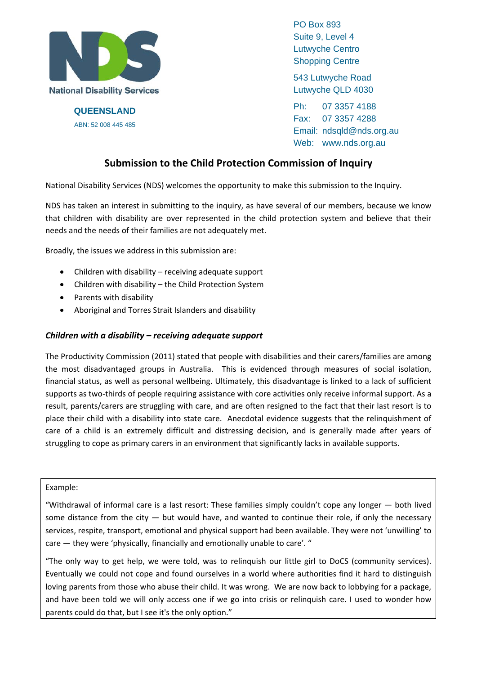

**QUEENSLAND**  ABN: 52 008 445 485

PO Box 893 Suite 9, Level 4 Lutwyche Centro Shopping Centre

543 Lutwyche Road Lutwyche QLD 4030

Ph: 07 3357 4188 Fax: 07 3357 4288 Email: ndsqld@nds.org.au Web: www.nds.org.au

# **Submission to the Child Protection Commission of Inquiry**

National Disability Services (NDS) welcomes the opportunity to make this submission to the Inquiry.

NDS has taken an interest in submitting to the inquiry, as have several of our members, because we know that children with disability are over represented in the child protection system and believe that their needs and the needs of their families are not adequately met.

Broadly, the issues we address in this submission are:

- $\bullet$  Children with disability receiving adequate support
- Children with disability the Child Protection System
- Parents with disability
- Aboriginal and Torres Strait Islanders and disability

### *Children with a disability – receiving adequate support*

The Productivity Commission (2011) stated that people with disabilities and their carers/families are among the most disadvantaged groups in Australia. This is evidenced through measures of social isolation, financial status, as well as personal wellbeing. Ultimately, this disadvantage is linked to a lack of sufficient supports as two-thirds of people requiring assistance with core activities only receive informal support. As a result, parents/carers are struggling with care, and are often resigned to the fact that their last resort is to place their child with a disability into state care. Anecdotal evidence suggests that the relinquishment of care of a child is an extremely difficult and distressing decision, and is generally made after years of struggling to cope as primary carers in an environment that significantly lacks in available supports.

#### Example:

"Withdrawal of informal care is a last resort: These families simply couldn't cope any longer — both lived some distance from the city  $-$  but would have, and wanted to continue their role, if only the necessary services, respite, transport, emotional and physical support had been available. They were not 'unwilling' to care — they were 'physically, financially and emotionally unable to care'. "

"The only way to get help, we were told, was to relinquish our little girl to DoCS (community services). Eventually we could not cope and found ourselves in a world where authorities find it hard to distinguish loving parents from those who abuse their child. It was wrong. We are now back to lobbying for a package, and have been told we will only access one if we go into crisis or relinquish care. I used to wonder how parents could do that, but I see it's the only option."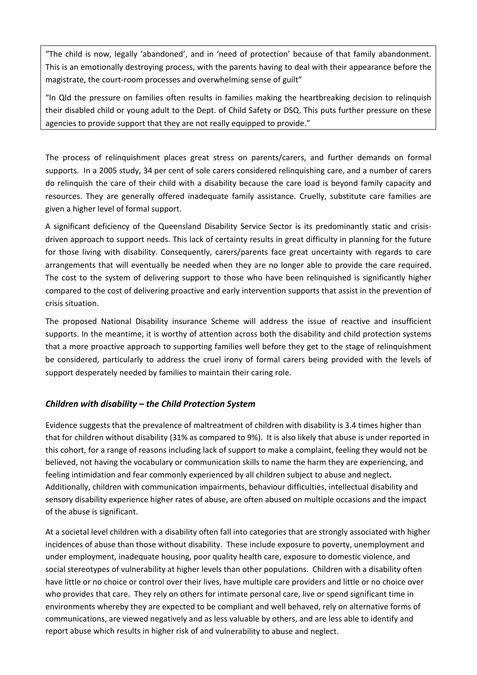"The child is now, legally 'abandoned', and in 'need of protection' because of that family abandonment. This is an emotionally destroying process, with the parents having to deal with their appearance before the magistrate, the court-room processes and overwhelming sense of guilt"

"In Qld the pressure on families often results in families making the heartbreaking decision to relinquish their disabled child or young adult to the Dept. of Child Safety or DSQ. This puts further pressure on these agencies to provide support that they are not really equipped to provide."

The process of relinquishment places great stress on parents/carers, and further demands on formal supports. In a 2005 study, 34 per cent of sole carers considered relinquishing care, and a number of carers do relinquish the care of their child with a disability because the care load is beyond family capacity and resources. They are generally offered inadequate family assistance. Cruelly, substitute care families are given a higher level of formal support.

A significant deficiency of the Queensland Disability Service Sector is its predominantly static and crisis‐ driven approach to support needs. This lack of certainty results in great difficulty in planning for the future for those living with disability. Consequently, carers/parents face great uncertainty with regards to care arrangements that will eventually be needed when they are no longer able to provide the care required. The cost to the system of delivering support to those who have been relinquished is significantly higher compared to the cost of delivering proactive and early intervention supports that assist in the prevention of crisis situation.

The proposed National Disability insurance Scheme will address the issue of reactive and insufficient supports. In the meantime, it is worthy of attention across both the disability and child protection systems that a more proactive approach to supporting families well before they get to the stage of relinquishment be considered, particularly to address the cruel irony of formal carers being provided with the levels of support desperately needed by families to maintain their caring role.

# *Children with disability – the Child Protection System*

Evidence suggests that the prevalence of maltreatment of children with disability is 3.4 times higher than that for children without disability (31% as compared to 9%). It is also likely that abuse is under reported in this cohort, for a range of reasons including lack of support to make a complaint, feeling they would not be believed, not having the vocabulary or communication skills to name the harm they are experiencing, and feeling intimidation and fear commonly experienced by all children subject to abuse and neglect. Additionally, children with communication impairments, behaviour difficulties, intellectual disability and sensory disability experience higher rates of abuse, are often abused on multiple occasions and the impact of the abuse is significant.

At a societal level children with a disability often fall into categories that are strongly associated with higher incidences of abuse than those without disability. These include exposure to poverty, unemployment and under employment, inadequate housing, poor quality health care, exposure to domestic violence, and social stereotypes of vulnerability at higher levels than other populations. Children with a disability often have little or no choice or control over their lives, have multiple care providers and little or no choice over who provides that care. They rely on others for intimate personal care, live or spend significant time in environments whereby they are expected to be compliant and well behaved, rely on alternative forms of communications, are viewed negatively and as less valuable by others, and are less able to identify and report abuse which results in higher risk of and vulnerability to abuse and neglect.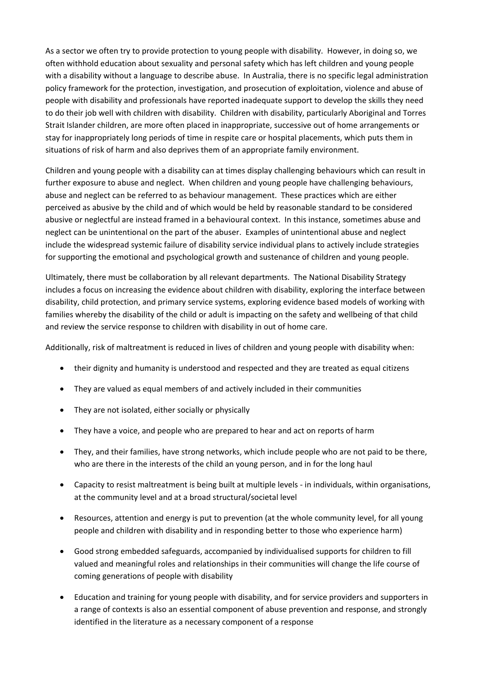As a sector we often try to provide protection to young people with disability. However, in doing so, we often withhold education about sexuality and personal safety which has left children and young people with a disability without a language to describe abuse. In Australia, there is no specific legal administration policy framework for the protection, investigation, and prosecution of exploitation, violence and abuse of people with disability and professionals have reported inadequate support to develop the skills they need to do their job well with children with disability. Children with disability, particularly Aboriginal and Torres Strait Islander children, are more often placed in inappropriate, successive out of home arrangements or stay for inappropriately long periods of time in respite care or hospital placements, which puts them in situations of risk of harm and also deprives them of an appropriate family environment.

Children and young people with a disability can at times display challenging behaviours which can result in further exposure to abuse and neglect. When children and young people have challenging behaviours, abuse and neglect can be referred to as behaviour management. These practices which are either perceived as abusive by the child and of which would be held by reasonable standard to be considered abusive or neglectful are instead framed in a behavioural context. In this instance, sometimes abuse and neglect can be unintentional on the part of the abuser. Examples of unintentional abuse and neglect include the widespread systemic failure of disability service individual plans to actively include strategies for supporting the emotional and psychological growth and sustenance of children and young people.

Ultimately, there must be collaboration by all relevant departments. The National Disability Strategy includes a focus on increasing the evidence about children with disability, exploring the interface between disability, child protection, and primary service systems, exploring evidence based models of working with families whereby the disability of the child or adult is impacting on the safety and wellbeing of that child and review the service response to children with disability in out of home care.

Additionally, risk of maltreatment is reduced in lives of children and young people with disability when:

- their dignity and humanity is understood and respected and they are treated as equal citizens
- They are valued as equal members of and actively included in their communities
- They are not isolated, either socially or physically
- They have a voice, and people who are prepared to hear and act on reports of harm
- They, and their families, have strong networks, which include people who are not paid to be there, who are there in the interests of the child an young person, and in for the long haul
- Capacity to resist maltreatment is being built at multiple levels in individuals, within organisations, at the community level and at a broad structural/societal level
- Resources, attention and energy is put to prevention (at the whole community level, for all young people and children with disability and in responding better to those who experience harm)
- Good strong embedded safeguards, accompanied by individualised supports for children to fill valued and meaningful roles and relationships in their communities will change the life course of coming generations of people with disability
- Education and training for young people with disability, and for service providers and supporters in a range of contexts is also an essential component of abuse prevention and response, and strongly identified in the literature as a necessary component of a response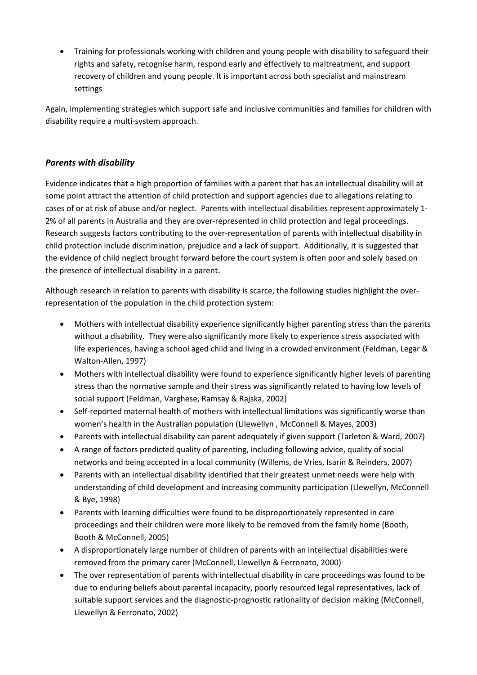Training for professionals working with children and young people with disability to safeguard their rights and safety, recognise harm, respond early and effectively to maltreatment, and support recovery of children and young people. It is important across both specialist and mainstream settings

Again, implementing strategies which support safe and inclusive communities and families for children with disability require a multi‐system approach.

# *Parents with disability*

Evidence indicates that a high proportion of families with a parent that has an intellectual disability will at some point attract the attention of child protection and support agencies due to allegations relating to cases of or at risk of abuse and/or neglect. Parents with intellectual disabilities represent approximately 1‐ 2% of all parents in Australia and they are over-represented in child protection and legal proceedings. Research suggests factors contributing to the over‐representation of parents with intellectual disability in child protection include discrimination, prejudice and a lack of support. Additionally, it is suggested that the evidence of child neglect brought forward before the court system is often poor and solely based on the presence of intellectual disability in a parent.

Although research in relation to parents with disability is scarce, the following studies highlight the over‐ representation of the population in the child protection system:

- Mothers with intellectual disability experience significantly higher parenting stress than the parents without a disability. They were also significantly more likely to experience stress associated with life experiences, having a school aged child and living in a crowded environment (Feldman, Legar & Walton‐Allen, 1997)
- Mothers with intellectual disability were found to experience significantly higher levels of parenting stress than the normative sample and their stress was significantly related to having low levels of social support (Feldman, Varghese, Ramsay & Rajska, 2002)
- Self-reported maternal health of mothers with intellectual limitations was significantly worse than women's health in the Australian population (Lllewellyn , McConnell & Mayes, 2003)
- Parents with intellectual disability can parent adequately if given support (Tarleton & Ward, 2007)
- A range of factors predicted quality of parenting, including following advice, quality of social networks and being accepted in a local community (Willems, de Vries, Isarin & Reinders, 2007)
- Parents with an intellectual disability identified that their greatest unmet needs were help with understanding of child development and increasing community participation (Llewellyn, McConnell & Bye, 1998)
- Parents with learning difficulties were found to be disproportionately represented in care proceedings and their children were more likely to be removed from the family home (Booth, Booth & McConnell, 2005)
- A disproportionately large number of children of parents with an intellectual disabilities were removed from the primary carer (McConnell, Llewellyn & Ferronato, 2000)
- The over representation of parents with intellectual disability in care proceedings was found to be due to enduring beliefs about parental incapacity, poorly resourced legal representatives, lack of suitable support services and the diagnostic-prognostic rationality of decision making (McConnell, Llewellyn & Ferronato, 2002)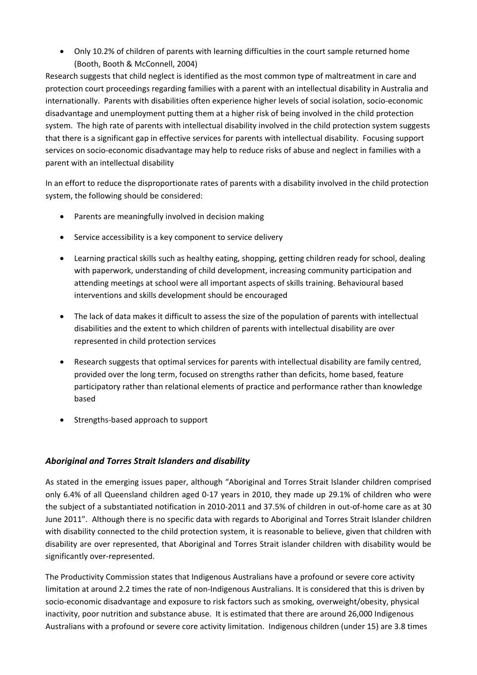Only 10.2% of children of parents with learning difficulties in the court sample returned home (Booth, Booth & McConnell, 2004)

Research suggests that child neglect is identified as the most common type of maltreatment in care and protection court proceedings regarding families with a parent with an intellectual disability in Australia and internationally. Parents with disabilities often experience higher levels of social isolation, socio‐economic disadvantage and unemployment putting them at a higher risk of being involved in the child protection system. The high rate of parents with intellectual disability involved in the child protection system suggests that there is a significant gap in effective services for parents with intellectual disability. Focusing support services on socio‐economic disadvantage may help to reduce risks of abuse and neglect in families with a parent with an intellectual disability

In an effort to reduce the disproportionate rates of parents with a disability involved in the child protection system, the following should be considered:

- Parents are meaningfully involved in decision making
- Service accessibility is a key component to service delivery
- Learning practical skills such as healthy eating, shopping, getting children ready for school, dealing with paperwork, understanding of child development, increasing community participation and attending meetings at school were all important aspects of skills training. Behavioural based interventions and skills development should be encouraged
- The lack of data makes it difficult to assess the size of the population of parents with intellectual disabilities and the extent to which children of parents with intellectual disability are over represented in child protection services
- Research suggests that optimal services for parents with intellectual disability are family centred, provided over the long term, focused on strengths rather than deficits, home based, feature participatory rather than relational elements of practice and performance rather than knowledge based
- Strengths-based approach to support

# *Aboriginal and Torres Strait Islanders and disability*

As stated in the emerging issues paper, although "Aboriginal and Torres Strait Islander children comprised only 6.4% of all Queensland children aged 0‐17 years in 2010, they made up 29.1% of children who were the subject of a substantiated notification in 2010‐2011 and 37.5% of children in out‐of‐home care as at 30 June 2011". Although there is no specific data with regards to Aboriginal and Torres Strait Islander children with disability connected to the child protection system, it is reasonable to believe, given that children with disability are over represented, that Aboriginal and Torres Strait islander children with disability would be significantly over‐represented.

The Productivity Commission states that Indigenous Australians have a profound or severe core activity limitation at around 2.2 times the rate of non‐Indigenous Australians. It is considered that this is driven by socio‐economic disadvantage and exposure to risk factors such as smoking, overweight/obesity, physical inactivity, poor nutrition and substance abuse. It is estimated that there are around 26,000 Indigenous Australians with a profound or severe core activity limitation. Indigenous children (under 15) are 3.8 times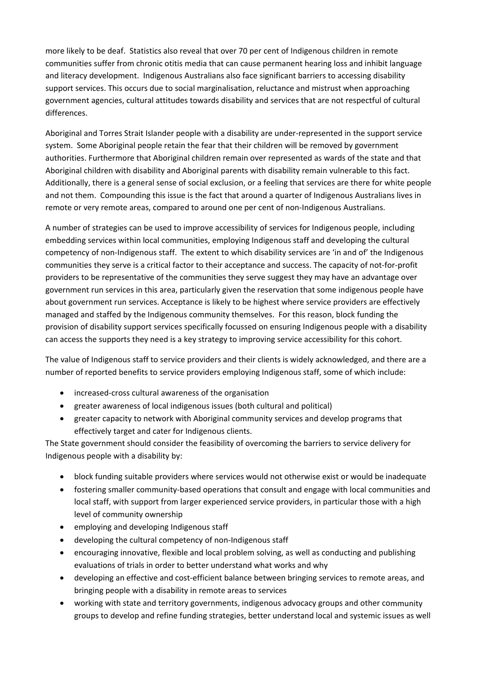more likely to be deaf. Statistics also reveal that over 70 per cent of Indigenous children in remote communities suffer from chronic otitis media that can cause permanent hearing loss and inhibit language and literacy development. Indigenous Australians also face significant barriers to accessing disability support services. This occurs due to social marginalisation, reluctance and mistrust when approaching government agencies, cultural attitudes towards disability and services that are not respectful of cultural differences.

Aboriginal and Torres Strait Islander people with a disability are under‐represented in the support service system. Some Aboriginal people retain the fear that their children will be removed by government authorities. Furthermore that Aboriginal children remain over represented as wards of the state and that Aboriginal children with disability and Aboriginal parents with disability remain vulnerable to this fact. Additionally, there is a general sense of social exclusion, or a feeling that services are there for white people and not them. Compounding this issue is the fact that around a quarter of Indigenous Australians lives in remote or very remote areas, compared to around one per cent of non-Indigenous Australians.

A number of strategies can be used to improve accessibility of services for Indigenous people, including embedding services within local communities, employing Indigenous staff and developing the cultural competency of non‐Indigenous staff. The extent to which disability services are 'in and of' the Indigenous communities they serve is a critical factor to their acceptance and success. The capacity of not‐for‐profit providers to be representative of the communities they serve suggest they may have an advantage over government run services in this area, particularly given the reservation that some indigenous people have about government run services. Acceptance is likely to be highest where service providers are effectively managed and staffed by the Indigenous community themselves. For this reason, block funding the provision of disability support services specifically focussed on ensuring Indigenous people with a disability can access the supports they need is a key strategy to improving service accessibility for this cohort.

The value of Indigenous staff to service providers and their clients is widely acknowledged, and there are a number of reported benefits to service providers employing Indigenous staff, some of which include:

- increased-cross cultural awareness of the organisation
- greater awareness of local indigenous issues (both cultural and political)
- greater capacity to network with Aboriginal community services and develop programs that effectively target and cater for Indigenous clients.

The State government should consider the feasibility of overcoming the barriers to service delivery for Indigenous people with a disability by:

- block funding suitable providers where services would not otherwise exist or would be inadequate
- fostering smaller community‐based operations that consult and engage with local communities and local staff, with support from larger experienced service providers, in particular those with a high level of community ownership
- employing and developing Indigenous staff
- developing the cultural competency of non‐Indigenous staff
- encouraging innovative, flexible and local problem solving, as well as conducting and publishing evaluations of trials in order to better understand what works and why
- developing an effective and cost-efficient balance between bringing services to remote areas, and bringing people with a disability in remote areas to services
- working with state and territory governments, indigenous advocacy groups and other community groups to develop and refine funding strategies, better understand local and systemic issues as well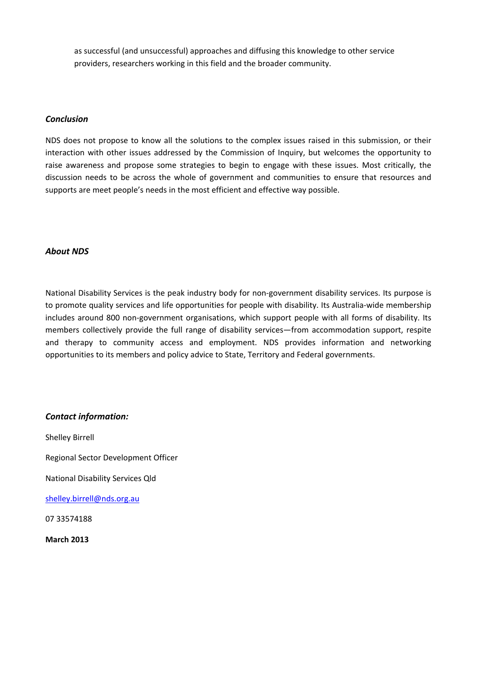as successful (and unsuccessful) approaches and diffusing this knowledge to other service providers, researchers working in this field and the broader community.

#### *Conclusion*

NDS does not propose to know all the solutions to the complex issues raised in this submission, or their interaction with other issues addressed by the Commission of Inquiry, but welcomes the opportunity to raise awareness and propose some strategies to begin to engage with these issues. Most critically, the discussion needs to be across the whole of government and communities to ensure that resources and supports are meet people's needs in the most efficient and effective way possible.

#### *About NDS*

National Disability Services is the peak industry body for non‐government disability services. Its purpose is to promote quality services and life opportunities for people with disability. Its Australia‐wide membership includes around 800 non-government organisations, which support people with all forms of disability. Its members collectively provide the full range of disability services—from accommodation support, respite and therapy to community access and employment. NDS provides information and networking opportunities to its members and policy advice to State, Territory and Federal governments.

### *Contact information:*

Shelley Birrell

Regional Sector Development Officer

National Disability Services Qld

[shelley.birrell@nds.org.au](mailto:shelley.birrell@nds.org.au)

07 33574188

**March 2013**